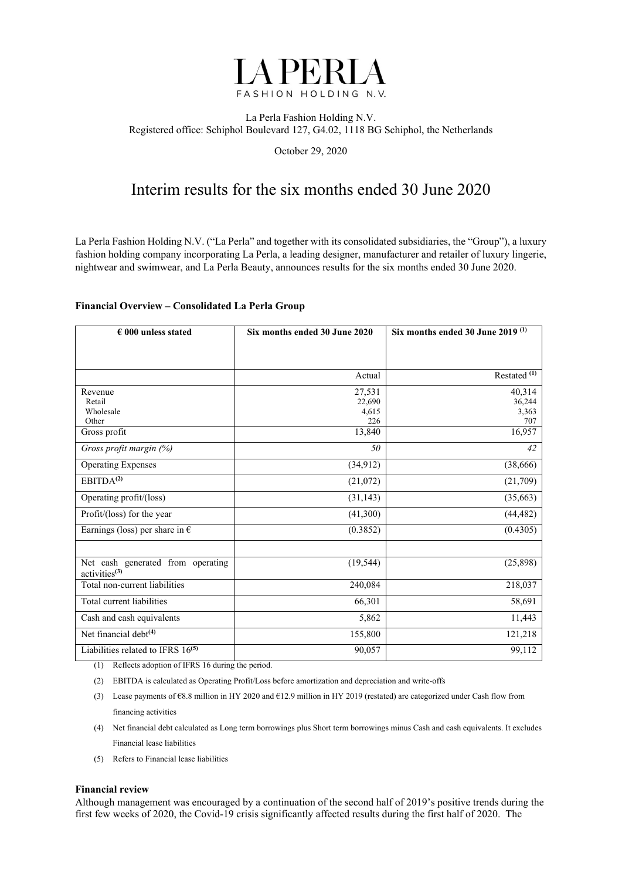

#### La Perla Fashion Holding N.V. Registered office: Schiphol Boulevard 127, G4.02, 1118 BG Schiphol, the Netherlands

October 29, 2020

# Interim results for the six months ended 30 June 2020

La Perla Fashion Holding N.V. ("La Perla" and together with its consolidated subsidiaries, the "Group"), a luxury fashion holding company incorporating La Perla, a leading designer, manufacturer and retailer of luxury lingerie, nightwear and swimwear, and La Perla Beauty, announces results for the six months ended 30 June 2020.

#### **Financial Overview – Consolidated La Perla Group**

| $\epsilon$ 000 unless stated                                   | Six months ended 30 June 2020 | Six months ended 30 June 2019 $(1)$ |
|----------------------------------------------------------------|-------------------------------|-------------------------------------|
|                                                                |                               |                                     |
|                                                                |                               |                                     |
|                                                                | Actual                        | Restated $\overline{(1)}$           |
| Revenue                                                        | 27,531                        | 40,314                              |
| Retail                                                         | 22,690                        | 36,244                              |
| Wholesale                                                      | 4,615                         | 3,363                               |
| Other                                                          | 226                           | 707                                 |
| Gross profit                                                   | 13,840                        | 16,957                              |
| Gross profit margin (%)                                        | 50                            | 42                                  |
| <b>Operating Expenses</b>                                      | (34, 912)                     | (38, 666)                           |
| EBITDA <sup>(2)</sup>                                          | (21,072)                      | (21,709)                            |
| Operating profit/(loss)                                        | (31, 143)                     | (35,663)                            |
| Profit/(loss) for the year                                     | (41,300)                      | (44, 482)                           |
| Earnings (loss) per share in $\epsilon$                        | (0.3852)                      | (0.4305)                            |
|                                                                |                               |                                     |
| Net cash generated from operating<br>activities <sup>(3)</sup> | (19, 544)                     | (25,898)                            |
| Total non-current liabilities                                  | 240,084                       | 218,037                             |
| Total current liabilities                                      | 66,301                        | 58,691                              |
| Cash and cash equivalents                                      | 5,862                         | 11,443                              |
| Net financial debt <sup>(4)</sup>                              | 155,800                       | 121,218                             |
| Liabilities related to IFRS 16 <sup>(5)</sup>                  | 90,057                        | 99,112                              |

(1) Reflects adoption of IFRS 16 during the period.

- (2) EBITDA is calculated as Operating Profit/Loss before amortization and depreciation and write-offs
- (3) Lease payments of €8.8 million in HY 2020 and €12.9 million in HY 2019 (restated) are categorized under Cash flow from financing activities
- (4) Net financial debt calculated as Long term borrowings plus Short term borrowings minus Cash and cash equivalents. It excludes Financial lease liabilities
- (5) Refers to Financial lease liabilities

#### **Financial review**

Although management was encouraged by a continuation of the second half of 2019's positive trends during the first few weeks of 2020, the Covid-19 crisis significantly affected results during the first half of 2020. The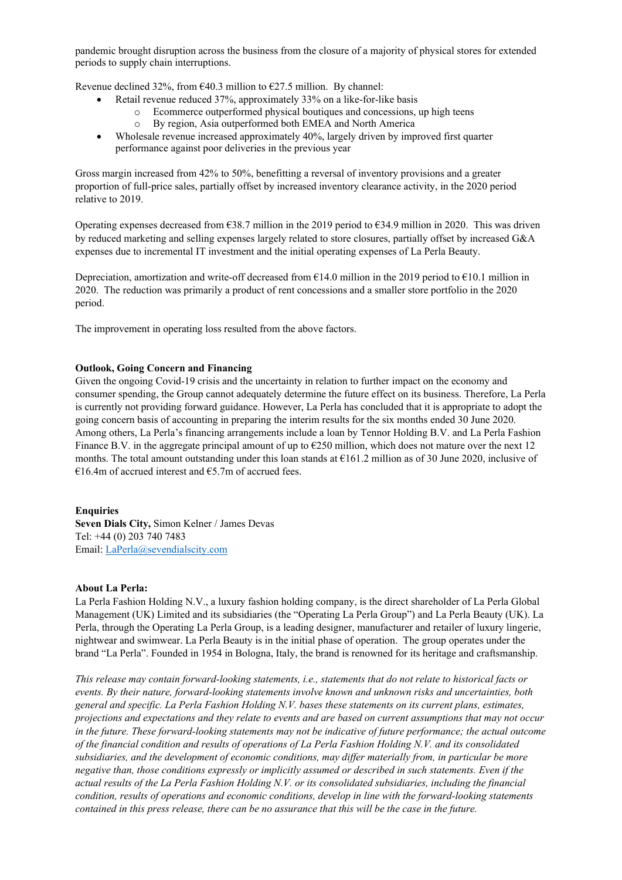pandemic brought disruption across the business from the closure of a majority of physical stores for extended periods to supply chain interruptions.

Revenue declined 32%, from  $\epsilon$ 40.3 million to  $\epsilon$ 27.5 million. By channel:

- Retail revenue reduced 37%, approximately 33% on a like-for-like basis
	- o Ecommerce outperformed physical boutiques and concessions, up high teens
	- o By region, Asia outperformed both EMEA and North America
- Wholesale revenue increased approximately 40%, largely driven by improved first quarter performance against poor deliveries in the previous year

Gross margin increased from 42% to 50%, benefitting a reversal of inventory provisions and a greater proportion of full-price sales, partially offset by increased inventory clearance activity, in the 2020 period relative to 2019.

Operating expenses decreased from €38.7 million in the 2019 period to €34.9 million in 2020. This was driven by reduced marketing and selling expenses largely related to store closures, partially offset by increased G&A expenses due to incremental IT investment and the initial operating expenses of La Perla Beauty.

Depreciation, amortization and write-off decreased from  $E14.0$  million in the 2019 period to  $E10.1$  million in 2020. The reduction was primarily a product of rent concessions and a smaller store portfolio in the 2020 period.

The improvement in operating loss resulted from the above factors.

#### **Outlook, Going Concern and Financing**

Given the ongoing Covid-19 crisis and the uncertainty in relation to further impact on the economy and consumer spending, the Group cannot adequately determine the future effect on its business. Therefore, La Perla is currently not providing forward guidance. However, La Perla has concluded that it is appropriate to adopt the going concern basis of accounting in preparing the interim results for the six months ended 30 June 2020. Among others, La Perla's financing arrangements include a loan by Tennor Holding B.V. and La Perla Fashion Finance B.V. in the aggregate principal amount of up to  $\epsilon$ 250 million, which does not mature over the next 12 months. The total amount outstanding under this loan stands at €161.2 million as of 30 June 2020, inclusive of €16.4m of accrued interest and  $€5.7$ m of accrued fees.

#### **Enquiries**

**Seven Dials City,** Simon Kelner / James Devas Tel: +44 (0) 203 740 7483 Email: LaPerla@sevendialscity.com

#### **About La Perla:**

La Perla Fashion Holding N.V., a luxury fashion holding company, is the direct shareholder of La Perla Global Management (UK) Limited and its subsidiaries (the "Operating La Perla Group") and La Perla Beauty (UK). La Perla, through the Operating La Perla Group, is a leading designer, manufacturer and retailer of luxury lingerie, nightwear and swimwear. La Perla Beauty is in the initial phase of operation. The group operates under the brand "La Perla". Founded in 1954 in Bologna, Italy, the brand is renowned for its heritage and craftsmanship.

*This release may contain forward-looking statements, i.e., statements that do not relate to historical facts or events. By their nature, forward-looking statements involve known and unknown risks and uncertainties, both general and specific. La Perla Fashion Holding N.V. bases these statements on its current plans, estimates, projections and expectations and they relate to events and are based on current assumptions that may not occur in the future. These forward-looking statements may not be indicative of future performance; the actual outcome of the financial condition and results of operations of La Perla Fashion Holding N.V. and its consolidated subsidiaries, and the development of economic conditions, may differ materially from, in particular be more negative than, those conditions expressly or implicitly assumed or described in such statements. Even if the actual results of the La Perla Fashion Holding N.V. or its consolidated subsidiaries, including the financial condition, results of operations and economic conditions, develop in line with the forward-looking statements contained in this press release, there can be no assurance that this will be the case in the future.*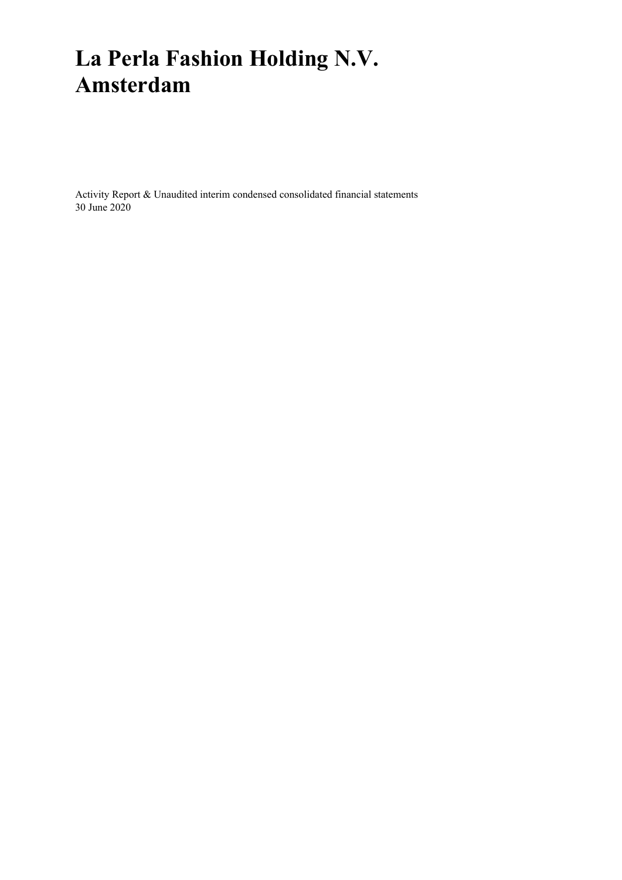# **La Perla Fashion Holding N.V. Amsterdam**

Activity Report & Unaudited interim condensed consolidated financial statements 30 June 2020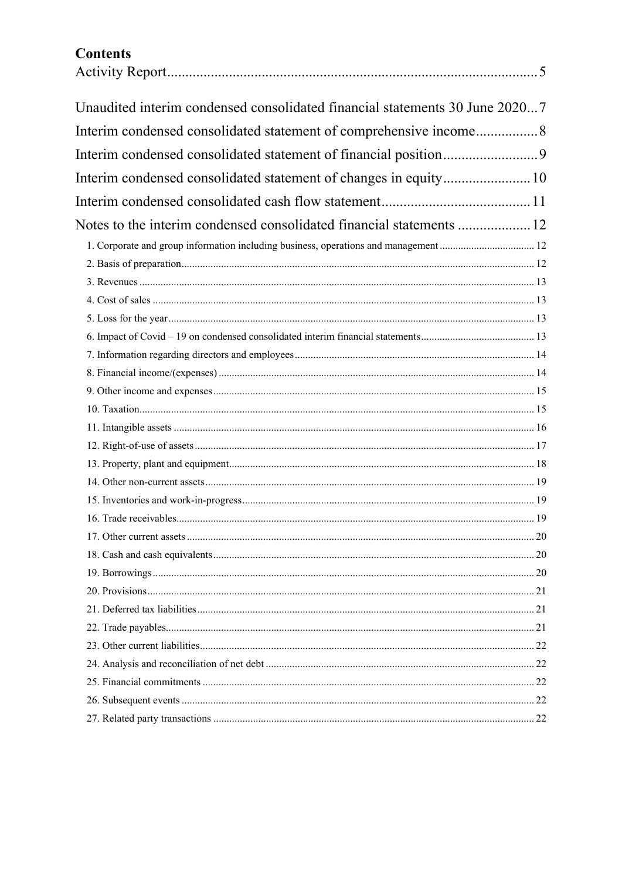# **Contents**

| Unaudited interim condensed consolidated financial statements 30 June 20207 |  |
|-----------------------------------------------------------------------------|--|
|                                                                             |  |
|                                                                             |  |
|                                                                             |  |
| Interim condensed consolidated statement of changes in equity 10            |  |
|                                                                             |  |
|                                                                             |  |
|                                                                             |  |
|                                                                             |  |
|                                                                             |  |
|                                                                             |  |
|                                                                             |  |
|                                                                             |  |
|                                                                             |  |
|                                                                             |  |
|                                                                             |  |
|                                                                             |  |
|                                                                             |  |
|                                                                             |  |
|                                                                             |  |
|                                                                             |  |
|                                                                             |  |
|                                                                             |  |
|                                                                             |  |
|                                                                             |  |
|                                                                             |  |
|                                                                             |  |
|                                                                             |  |
|                                                                             |  |
|                                                                             |  |
|                                                                             |  |
|                                                                             |  |
|                                                                             |  |
|                                                                             |  |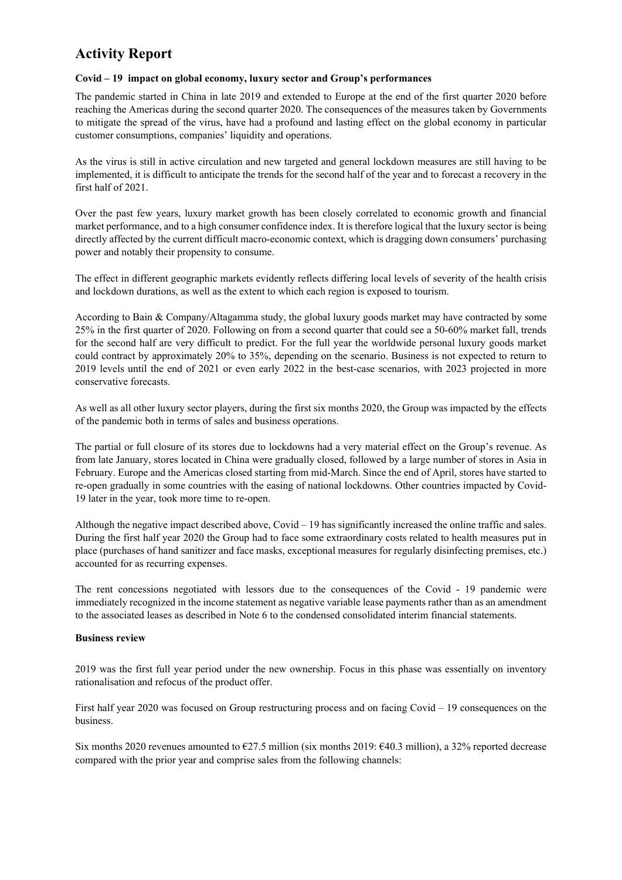# **Activity Report**

#### **Covid – 19 impact on global economy, luxury sector and Group's performances**

The pandemic started in China in late 2019 and extended to Europe at the end of the first quarter 2020 before reaching the Americas during the second quarter 2020. The consequences of the measures taken by Governments to mitigate the spread of the virus, have had a profound and lasting effect on the global economy in particular customer consumptions, companies' liquidity and operations.

As the virus is still in active circulation and new targeted and general lockdown measures are still having to be implemented, it is difficult to anticipate the trends for the second half of the year and to forecast a recovery in the first half of 2021.

Over the past few years, luxury market growth has been closely correlated to economic growth and financial market performance, and to a high consumer confidence index. It is therefore logical that the luxury sector is being directly affected by the current difficult macro-economic context, which is dragging down consumers' purchasing power and notably their propensity to consume.

The effect in different geographic markets evidently reflects differing local levels of severity of the health crisis and lockdown durations, as well as the extent to which each region is exposed to tourism.

According to Bain & Company/Altagamma study, the global luxury goods market may have contracted by some 25% in the first quarter of 2020. Following on from a second quarter that could see a 50-60% market fall, trends for the second half are very difficult to predict. For the full year the worldwide personal luxury goods market could contract by approximately 20% to 35%, depending on the scenario. Business is not expected to return to 2019 levels until the end of 2021 or even early 2022 in the best-case scenarios, with 2023 projected in more conservative forecasts.

As well as all other luxury sector players, during the first six months 2020, the Group was impacted by the effects of the pandemic both in terms of sales and business operations.

The partial or full closure of its stores due to lockdowns had a very material effect on the Group's revenue. As from late January, stores located in China were gradually closed, followed by a large number of stores in Asia in February. Europe and the Americas closed starting from mid-March. Since the end of April, stores have started to re-open gradually in some countries with the easing of national lockdowns. Other countries impacted by Covid-19 later in the year, took more time to re-open.

Although the negative impact described above,  $Covid - 19$  has significantly increased the online traffic and sales. During the first half year 2020 the Group had to face some extraordinary costs related to health measures put in place (purchases of hand sanitizer and face masks, exceptional measures for regularly disinfecting premises, etc.) accounted for as recurring expenses.

The rent concessions negotiated with lessors due to the consequences of the Covid - 19 pandemic were immediately recognized in the income statement as negative variable lease payments rather than as an amendment to the associated leases as described in Note 6 to the condensed consolidated interim financial statements.

#### **Business review**

2019 was the first full year period under the new ownership. Focus in this phase was essentially on inventory rationalisation and refocus of the product offer.

First half year 2020 was focused on Group restructuring process and on facing Covid – 19 consequences on the business.

Six months 2020 revenues amounted to  $\epsilon$ 27.5 million (six months 2019:  $\epsilon$ 40.3 million), a 32% reported decrease compared with the prior year and comprise sales from the following channels: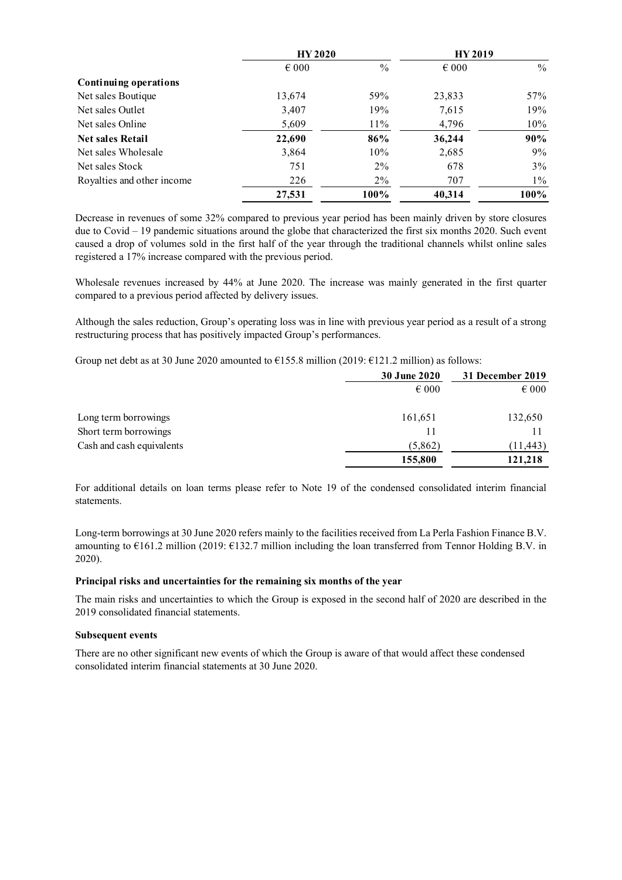|                            | <b>HY 2020</b> |               | <b>HY 2019</b> |               |
|----------------------------|----------------|---------------|----------------|---------------|
|                            | $\epsilon$ 000 | $\frac{0}{0}$ | $\epsilon$ 000 | $\frac{0}{0}$ |
| Continuing operations      |                |               |                |               |
| Net sales Boutique         | 13,674         | 59%           | 23,833         | 57%           |
| Net sales Outlet           | 3,407          | 19%           | 7,615          | 19%           |
| Net sales Online           | 5,609          | 11%           | 4,796          | 10%           |
| <b>Net sales Retail</b>    | 22,690         | 86%           | 36,244         | 90%           |
| Net sales Wholesale        | 3,864          | 10%           | 2,685          | $9\%$         |
| Net sales Stock            | 751            | $2\%$         | 678            | 3%            |
| Royalties and other income | 226            | $2\%$         | 707            | $1\%$         |
|                            | 27,531         | 100%          | 40,314         | 100%          |

Decrease in revenues of some 32% compared to previous year period has been mainly driven by store closures due to Covid – 19 pandemic situations around the globe that characterized the first six months 2020. Such event caused a drop of volumes sold in the first half of the year through the traditional channels whilst online sales registered a 17% increase compared with the previous period.

Wholesale revenues increased by 44% at June 2020. The increase was mainly generated in the first quarter compared to a previous period affected by delivery issues.

Although the sales reduction, Group's operating loss was in line with previous year period as a result of a strong restructuring process that has positively impacted Group's performances.

Group net debt as at 30 June 2020 amounted to  $\epsilon$ 155.8 million (2019:  $\epsilon$ 121.2 million) as follows:

|                           | <b>30 June 2020</b> | 31 December 2019 |
|---------------------------|---------------------|------------------|
|                           | $\epsilon$ 000      | $\epsilon$ 000   |
| Long term borrowings      | 161,651             | 132,650          |
| Short term borrowings     | 11                  |                  |
| Cash and cash equivalents | (5,862)             | (11,443)         |
|                           | 155,800             | 121,218          |

For additional details on loan terms please refer to Note 19 of the condensed consolidated interim financial statements.

Long-term borrowings at 30 June 2020 refers mainly to the facilities received from La Perla Fashion Finance B.V. amounting to €161.2 million (2019: €132.7 million including the loan transferred from Tennor Holding B.V. in 2020).

#### **Principal risks and uncertainties for the remaining six months of the year**

The main risks and uncertainties to which the Group is exposed in the second half of 2020 are described in the 2019 consolidated financial statements.

#### **Subsequent events**

There are no other significant new events of which the Group is aware of that would affect these condensed consolidated interim financial statements at 30 June 2020.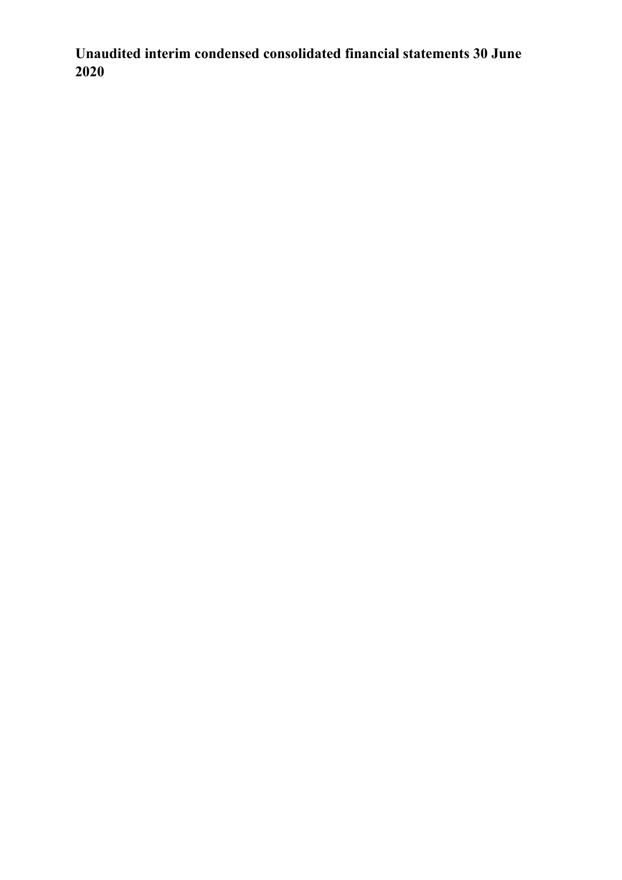**Unaudited interim condensed consolidated financial statements 30 June 2020**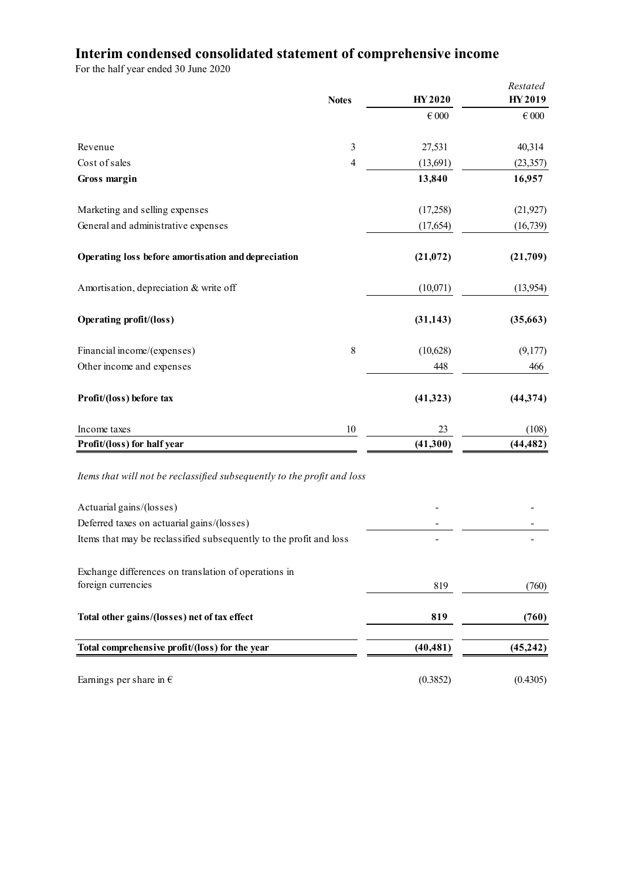# **Interim condensed consolidated statement of comprehensive income**

|                                                                            | <b>Notes</b>   | HY 2020        | Restated<br>HY 2019 |
|----------------------------------------------------------------------------|----------------|----------------|---------------------|
|                                                                            |                | $\epsilon$ 000 | $\in 000$           |
| Revenue                                                                    | 3              | 27,531         | 40,314              |
| Cost of sales                                                              | $\overline{4}$ | (13, 691)      | (23, 357)           |
| Gross margin                                                               |                | 13,840         | 16,957              |
| Marketing and selling expenses                                             |                | (17,258)       | (21, 927)           |
| General and administrative expenses                                        |                | (17, 654)      | (16, 739)           |
| Operating loss before amortisation and depreciation                        |                | (21, 072)      | (21,709)            |
| Amortisation, depreciation & write off                                     |                | (10,071)       | (13,954)            |
| <b>Operating profit/(loss)</b>                                             |                | (31, 143)      | (35,663)            |
| Financial income/(expenses)                                                | 8              | (10,628)       | (9,177)             |
| Other income and expenses                                                  |                | 448            | 466                 |
| Profit/(loss) before tax                                                   |                | (41, 323)      | (44, 374)           |
| Income taxes                                                               | 10             | 23             | (108)               |
| Profit/(loss) for half year                                                |                | (41,300)       | (44, 482)           |
| Items that will not be reclassified subsequently to the profit and loss    |                |                |                     |
| Actuarial gains/(losses)                                                   |                |                |                     |
| Deferred taxes on actuarial gains/(losses)                                 |                |                |                     |
| Items that may be reclassified subsequently to the profit and loss         |                |                |                     |
| Exchange differences on translation of operations in<br>foreign currencies |                | 819            | (760)               |
|                                                                            |                |                |                     |
| Total other gains/(losses) net of tax effect                               |                | 819            | (760)               |
| Total comprehensive profit/(loss) for the year                             |                | (40, 481)      | (45,242)            |
| Earnings per share in $\epsilon$                                           |                | (0.3852)       | (0.4305)            |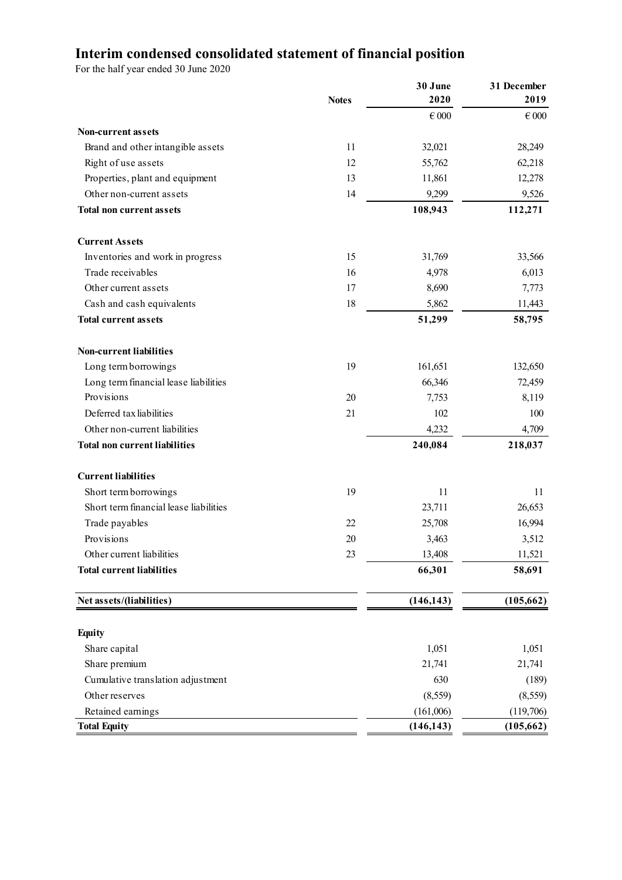# **Interim condensed consolidated statement of financial position**

|                                        | <b>Notes</b> | 30 June<br>2020 | 31 December<br>2019 |
|----------------------------------------|--------------|-----------------|---------------------|
|                                        |              | $\in 000$       | $\epsilon$ 000      |
| <b>Non-current assets</b>              |              |                 |                     |
| Brand and other intangible assets      | 11           | 32,021          | 28,249              |
| Right of use assets                    | 12           | 55,762          | 62,218              |
| Properties, plant and equipment        | 13           | 11,861          | 12,278              |
| Other non-current assets               | 14           | 9,299           | 9,526               |
| <b>Total non current assets</b>        |              | 108,943         | 112,271             |
| <b>Current Assets</b>                  |              |                 |                     |
| Inventories and work in progress       | 15           | 31,769          | 33,566              |
| Trade receivables                      | 16           | 4,978           | 6,013               |
| Other current assets                   | 17           | 8,690           | 7,773               |
| Cash and cash equivalents              | 18           | 5,862           | 11,443              |
| <b>Total current assets</b>            |              | 51,299          | 58,795              |
| <b>Non-current liabilities</b>         |              |                 |                     |
| Long term borrowings                   | 19           | 161,651         | 132,650             |
| Long term financial lease liabilities  |              | 66,346          | 72,459              |
| Provisions                             | 20           | 7,753           | 8,119               |
| Deferred tax liabilities               | 21           | 102             | 100                 |
| Other non-current liabilities          |              | 4,232           | 4,709               |
| <b>Total non current liabilities</b>   |              | 240,084         | 218,037             |
| <b>Current liabilities</b>             |              |                 |                     |
| Short term borrowings                  | 19           | 11              | 11                  |
| Short term financial lease liabilities |              | 23,711          | 26,653              |
| Trade payables                         | 22           | 25,708          | 16,994              |
| Provisions                             | 20           | 3,463           | 3,512               |
| Other current liabilities              | 23           | 13,408          | 11,521              |
| <b>Total current liabilities</b>       |              | 66,301          | 58,691              |
| Net assets/(liabilities)               |              | (146, 143)      | (105, 662)          |
|                                        |              |                 |                     |
| <b>Equity</b>                          |              |                 |                     |
| Share capital                          |              | 1,051           | 1,051               |
| Share premium                          |              | 21,741          | 21,741              |
| Cumulative translation adjustment      |              | 630             | (189)               |
| Other reserves                         |              | (8, 559)        | (8, 559)            |
| Retained earnings                      |              | (161,006)       | (119,706)           |
| <b>Total Equity</b>                    |              | (146, 143)      | (105, 662)          |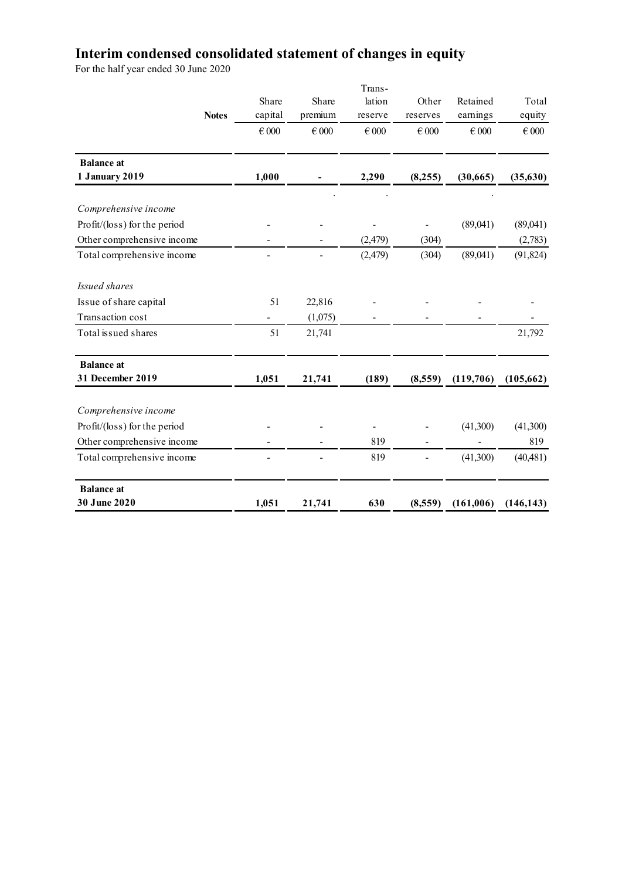# **Interim condensed consolidated statement of changes in equity**

|                                     | Share     | Share     | Trans-<br>lation | Other                    | Retained  | Total      |
|-------------------------------------|-----------|-----------|------------------|--------------------------|-----------|------------|
| <b>Notes</b>                        | capital   | premium   | reserve          | reserves                 | earnings  | equity     |
|                                     | $\in 000$ | $\in 000$ | $\in 000$        | $\in 000$                | $\in 000$ | $\in 000$  |
| <b>Balance</b> at<br>1 January 2019 | 1,000     |           | 2,290            | (8,255)                  | (30,665)  | (35,630)   |
| Comprehensive income                |           |           |                  |                          |           |            |
| Profit/(loss) for the period        |           |           |                  |                          | (89,041)  | (89,041)   |
| Other comprehensive income          |           |           | (2, 479)         | (304)                    |           | (2,783)    |
| Total comprehensive income          |           |           | (2, 479)         | (304)                    | (89,041)  | (91, 824)  |
| Issued shares                       |           |           |                  |                          |           |            |
| Issue of share capital              | 51        | 22,816    |                  |                          |           |            |
| Transaction cost                    |           | (1,075)   |                  |                          |           |            |
| Total issued shares                 | 51        | 21,741    |                  |                          |           | 21,792     |
| <b>Balance</b> at                   |           |           |                  |                          |           |            |
| 31 December 2019                    | 1,051     | 21,741    | (189)            | (8,559)                  | (119,706) | (105, 662) |
| Comprehensive income                |           |           |                  |                          |           |            |
| Profit/(loss) for the period        |           |           |                  |                          | (41,300)  | (41,300)   |
| Other comprehensive income          |           |           | 819              |                          |           | 819        |
| Total comprehensive income          |           |           | 819              | $\overline{\phantom{0}}$ | (41,300)  | (40, 481)  |
| <b>Balance</b> at                   |           |           |                  |                          |           |            |
| 30 June 2020                        | 1,051     | 21,741    | 630              | (8,559)                  | (161,006) | (146, 143) |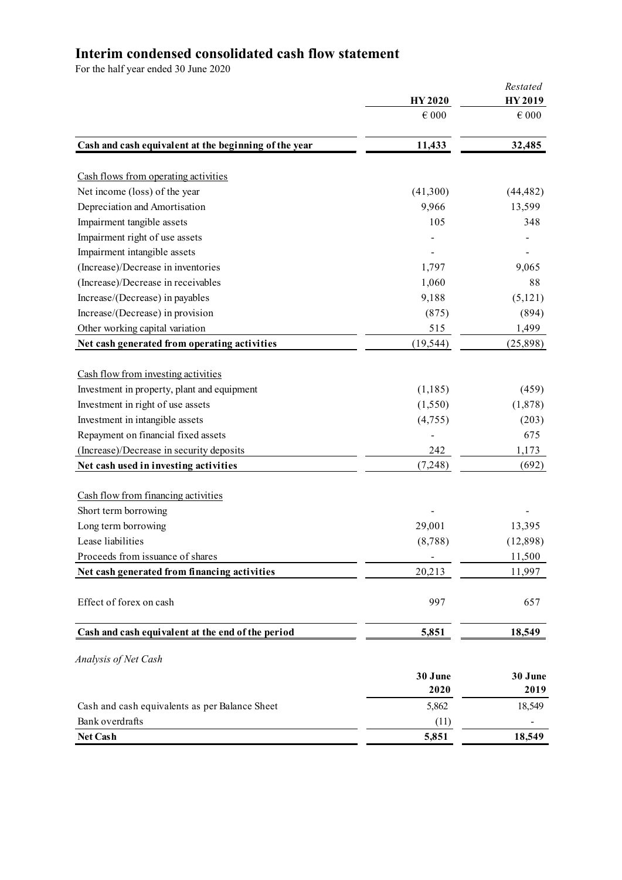# **Interim condensed consolidated cash flow statement**

|                                                       | <b>HY2020</b>  | Restated<br><b>HY2019</b> |
|-------------------------------------------------------|----------------|---------------------------|
|                                                       | $\epsilon$ 000 | $\in 000$                 |
| Cash and cash equivalent at the beginning of the year | 11,433         | 32,485                    |
|                                                       |                |                           |
| Cash flows from operating activities                  |                |                           |
| Net income (loss) of the year                         | (41,300)       | (44, 482)                 |
| Depreciation and Amortisation                         | 9,966          | 13,599                    |
| Impairment tangible assets                            | 105            | 348                       |
| Impairment right of use assets                        |                |                           |
| Impairment intangible assets                          |                |                           |
| (Increase)/Decrease in inventories                    | 1,797          | 9,065                     |
| (Increase)/Decrease in receivables                    | 1,060          | 88                        |
| Increase/(Decrease) in payables                       | 9,188          | (5,121)                   |
| Increase/(Decrease) in provision                      | (875)          | (894)                     |
| Other working capital variation                       | 515            | 1,499                     |
| Net cash generated from operating activities          | (19, 544)      | (25,898)                  |
|                                                       |                |                           |
| Cash flow from investing activities                   |                |                           |
| Investment in property, plant and equipment           | (1, 185)       | (459)                     |
| Investment in right of use assets                     | (1,550)        | (1,878)                   |
| Investment in intangible assets                       | (4,755)        | (203)                     |
| Repayment on financial fixed assets                   |                | 675                       |
| (Increase)/Decrease in security deposits              | 242            | 1,173                     |
| Net cash used in investing activities                 | (7,248)        | (692)                     |
| Cash flow from financing activities                   |                |                           |
| Short term borrowing                                  |                |                           |
| Long term borrowing                                   | 29,001         | 13,395                    |
| Lease liabilities                                     | (8,788)        | (12,898)                  |
| Proceeds from issuance of shares                      |                | 11,500                    |
| Net cash generated from financing activities          | 20,213         | 11,997                    |
| Effect of forex on cash                               | 997            | 657                       |
| Cash and cash equivalent at the end of the period     | 5,851          | 18,549                    |
| Analysis of Net Cash                                  |                |                           |
|                                                       | 30 June        | 30 June                   |
|                                                       | 2020           | 2019                      |
| Cash and cash equivalents as per Balance Sheet        | 5,862          | 18,549                    |
| Bank overdrafts                                       | (11)           |                           |
| Net Cash                                              | 5,851          | 18,549                    |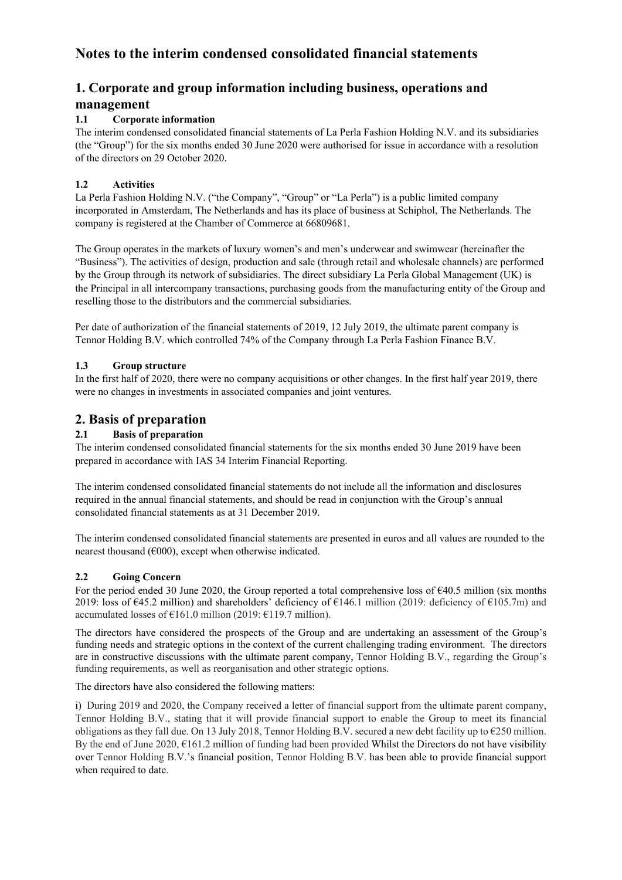# **Notes to the interim condensed consolidated financial statements**

# **1. Corporate and group information including business, operations and management**

#### **1.1 Corporate information**

The interim condensed consolidated financial statements of La Perla Fashion Holding N.V. and its subsidiaries (the "Group") for the six months ended 30 June 2020 were authorised for issue in accordance with a resolution of the directors on 29 October 2020.

#### **1.2 Activities**

La Perla Fashion Holding N.V. ("the Company", "Group" or "La Perla") is a public limited company incorporated in Amsterdam, The Netherlands and has its place of business at Schiphol, The Netherlands. The company is registered at the Chamber of Commerce at 66809681.

The Group operates in the markets of luxury women's and men's underwear and swimwear (hereinafter the "Business"). The activities of design, production and sale (through retail and wholesale channels) are performed by the Group through its network of subsidiaries. The direct subsidiary La Perla Global Management (UK) is the Principal in all intercompany transactions, purchasing goods from the manufacturing entity of the Group and reselling those to the distributors and the commercial subsidiaries.

Per date of authorization of the financial statements of 2019, 12 July 2019, the ultimate parent company is Tennor Holding B.V. which controlled 74% of the Company through La Perla Fashion Finance B.V.

#### **1.3 Group structure**

In the first half of 2020, there were no company acquisitions or other changes. In the first half year 2019, there were no changes in investments in associated companies and joint ventures.

### **2. Basis of preparation**

#### **2.1 Basis of preparation**

The interim condensed consolidated financial statements for the six months ended 30 June 2019 have been prepared in accordance with IAS 34 Interim Financial Reporting.

The interim condensed consolidated financial statements do not include all the information and disclosures required in the annual financial statements, and should be read in conjunction with the Group's annual consolidated financial statements as at 31 December 2019.

The interim condensed consolidated financial statements are presented in euros and all values are rounded to the nearest thousand ( $\epsilon$ 000), except when otherwise indicated.

#### **2.2 Going Concern**

For the period ended 30 June 2020, the Group reported a total comprehensive loss of  $\epsilon$ 40.5 million (six months 2019: loss of  $\epsilon$ 45.2 million) and shareholders' deficiency of  $\epsilon$ 146.1 million (2019: deficiency of  $\epsilon$ 105.7m) and accumulated losses of  $\epsilon$ 161.0 million (2019:  $\epsilon$ 119.7 million).

The directors have considered the prospects of the Group and are undertaking an assessment of the Group's funding needs and strategic options in the context of the current challenging trading environment. The directors are in constructive discussions with the ultimate parent company, Tennor Holding B.V., regarding the Group's funding requirements, as well as reorganisation and other strategic options.

The directors have also considered the following matters:

i) During 2019 and 2020, the Company received a letter of financial support from the ultimate parent company, Tennor Holding B.V., stating that it will provide financial support to enable the Group to meet its financial obligations as they fall due. On 13 July 2018, Tennor Holding B.V. secured a new debt facility up to €250 million. By the end of June 2020,  $\epsilon$ 161.2 million of funding had been provided Whilst the Directors do not have visibility over Tennor Holding B.V.'s financial position, Tennor Holding B.V. has been able to provide financial support when required to date.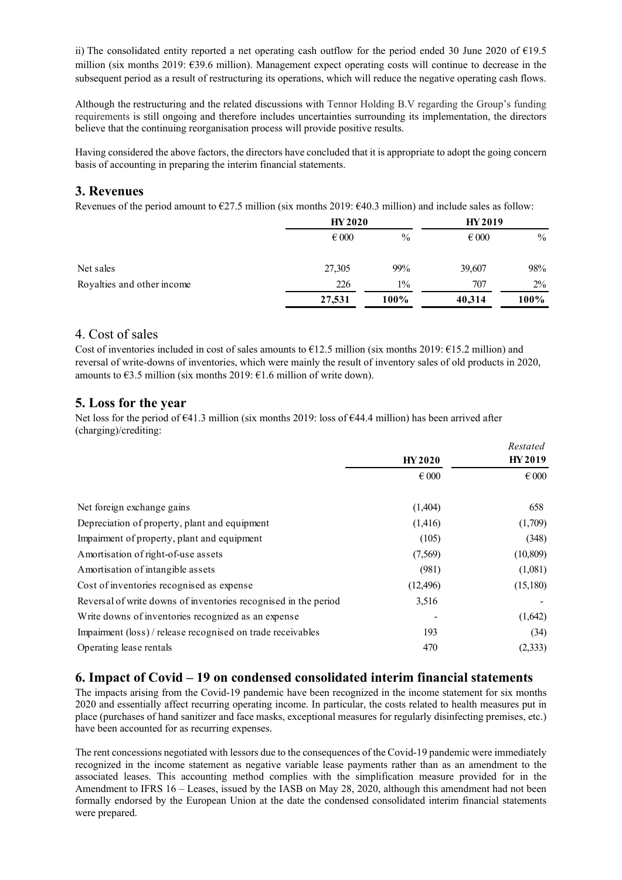ii) The consolidated entity reported a net operating cash outflow for the period ended 30 June 2020 of €19.5 million (six months 2019: €39.6 million). Management expect operating costs will continue to decrease in the subsequent period as a result of restructuring its operations, which will reduce the negative operating cash flows.

Although the restructuring and the related discussions with Tennor Holding B.V regarding the Group's funding requirements is still ongoing and therefore includes uncertainties surrounding its implementation, the directors believe that the continuing reorganisation process will provide positive results.

Having considered the above factors, the directors have concluded that it is appropriate to adopt the going concern basis of accounting in preparing the interim financial statements.

### **3. Revenues**

Revenues of the period amount to  $\epsilon$ 27.5 million (six months 2019:  $\epsilon$ 40.3 million) and include sales as follow:

|                            |                | <b>HY 2020</b> |                | <b>HY 2019</b> |
|----------------------------|----------------|----------------|----------------|----------------|
|                            | $\epsilon$ 000 | $\%$           | $\epsilon$ 000 | $\%$           |
| Net sales                  | 27,305         | 99%            | 39,607         | 98%            |
| Royalties and other income | 226            | $1\%$          | 707            | $2\%$          |
|                            | 27,531         | 100%           | 40,314         | 100%           |

#### 4. Cost of sales

Cost of inventories included in cost of sales amounts to  $E12.5$  million (six months 2019:  $E15.2$  million) and reversal of write-downs of inventories, which were mainly the result of inventory sales of old products in 2020, amounts to  $\epsilon$ 3.5 million (six months 2019:  $\epsilon$ 1.6 million of write down).

### **5. Loss for the year**

Net loss for the period of  $641.3$  million (six months 2019: loss of  $644.4$  million) has been arrived after (charging)/crediting:

|                                                                 |                | Restated       |  |
|-----------------------------------------------------------------|----------------|----------------|--|
|                                                                 | <b>HY2020</b>  | HY 2019        |  |
|                                                                 | $\epsilon$ 000 | $\epsilon$ 000 |  |
| Net foreign exchange gains                                      | (1,404)        | 658            |  |
| Depreciation of property, plant and equipment                   | (1,416)        | (1,709)        |  |
| Impairment of property, plant and equipment                     | (105)          | (348)          |  |
| Amortisation of right-of-use assets                             | (7,569)        | (10, 809)      |  |
| Amortisation of intangible assets                               | (981)          | (1,081)        |  |
| Cost of inventories recognised as expense                       | (12, 496)      | (15,180)       |  |
| Reversal of write downs of inventories recognised in the period | 3,516          |                |  |
| Write downs of inventories recognized as an expense             |                | (1,642)        |  |
| Impairment (loss) / release recognised on trade receivables     | 193            | (34)           |  |
| Operating lease rentals                                         | 470            | (2, 333)       |  |

### **6. Impact of Covid – 19 on condensed consolidated interim financial statements**

The impacts arising from the Covid-19 pandemic have been recognized in the income statement for six months 2020 and essentially affect recurring operating income. In particular, the costs related to health measures put in place (purchases of hand sanitizer and face masks, exceptional measures for regularly disinfecting premises, etc.) have been accounted for as recurring expenses.

The rent concessions negotiated with lessors due to the consequences of the Covid-19 pandemic were immediately recognized in the income statement as negative variable lease payments rather than as an amendment to the associated leases. This accounting method complies with the simplification measure provided for in the Amendment to IFRS 16 – Leases, issued by the IASB on May 28, 2020, although this amendment had not been formally endorsed by the European Union at the date the condensed consolidated interim financial statements were prepared.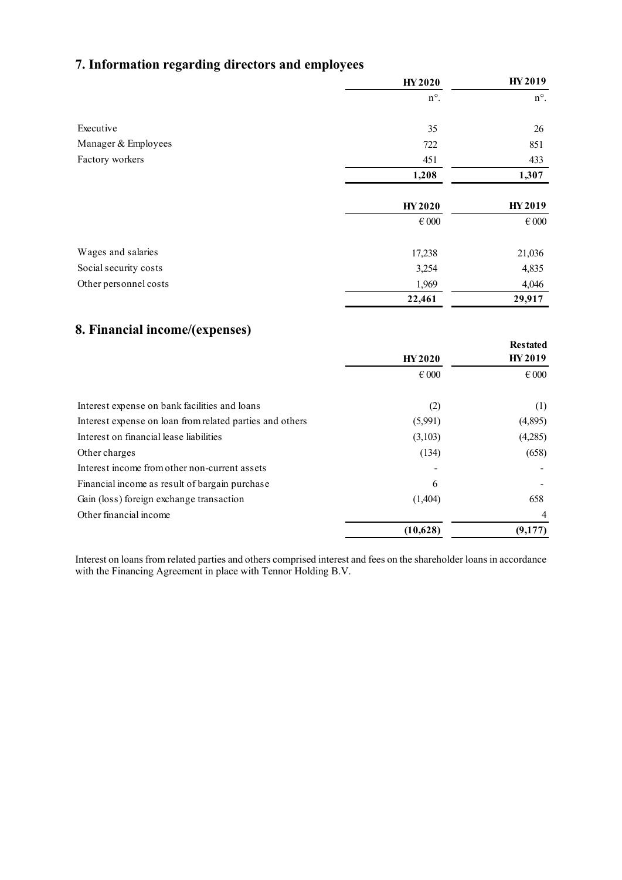# **7. Information regarding directors and employees**

|                       | <b>HY2020</b> | <b>HY2019</b>  |
|-----------------------|---------------|----------------|
|                       | $n^{\circ}$ . | $n^{\circ}$ .  |
| Executive             | 35            | 26             |
| Manager & Employees   | 722           | 851            |
| Factory workers       | 451           | 433            |
|                       | 1,208         | 1,307          |
|                       | <b>HY2020</b> | HY 2019        |
|                       | $\in 000$     | $\epsilon$ 000 |
| Wages and salaries    | 17,238        | 21,036         |
| Social security costs | 3,254         | 4,835          |
| Other personnel costs | 1,969         | 4,046          |
|                       | 22,461        | 29,917         |

# **8. Financial income/(expenses)**

|                                                          |                | <b>Restated</b> |
|----------------------------------------------------------|----------------|-----------------|
|                                                          | <b>HY2020</b>  | <b>HY2019</b>   |
|                                                          | $\epsilon$ 000 | $\epsilon$ 000  |
| Interest expense on bank facilities and loans            | (2)            | (1)             |
| Interest expense on loan from related parties and others | (5,991)        | (4,895)         |
| Interest on financial lease liabilities                  | (3,103)        | (4,285)         |
| Other charges                                            | (134)          | (658)           |
| Interest income from other non-current assets            |                |                 |
| Financial income as result of bargain purchase           | 6              |                 |
| Gain (loss) foreign exchange transaction                 | (1,404)        | 658             |
| Other financial income                                   |                | $\overline{4}$  |
|                                                          | (10,628)       | (9,177)         |
|                                                          |                |                 |

Interest on loans from related parties and others comprised interest and fees on the shareholder loans in accordance with the Financing Agreement in place with Tennor Holding B.V.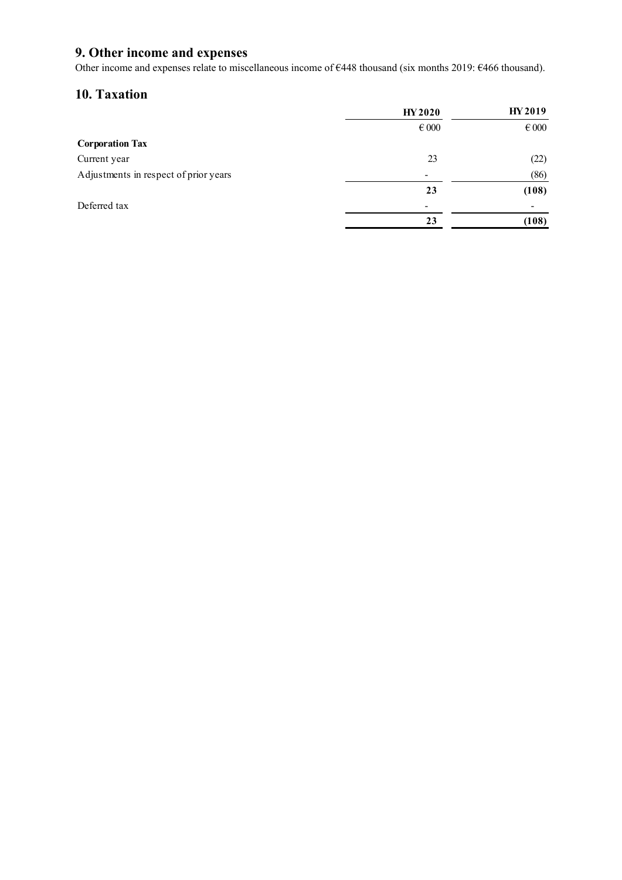# **9. Other income and expenses**

Other income and expenses relate to miscellaneous income of €448 thousand (six months 2019: €466 thousand).

# **10. Taxation**

|                                       | <b>HY 2020</b>           | <b>HY2019</b> |
|---------------------------------------|--------------------------|---------------|
|                                       | $\epsilon$ 000           | $\in 000$     |
| <b>Corporation Tax</b>                |                          |               |
| Current year                          | 23                       | (22)          |
| Adjustments in respect of prior years | $\overline{\phantom{a}}$ | (86)          |
|                                       | 23                       | (108)         |
| Deferred tax                          |                          |               |
|                                       | 23                       | (108)         |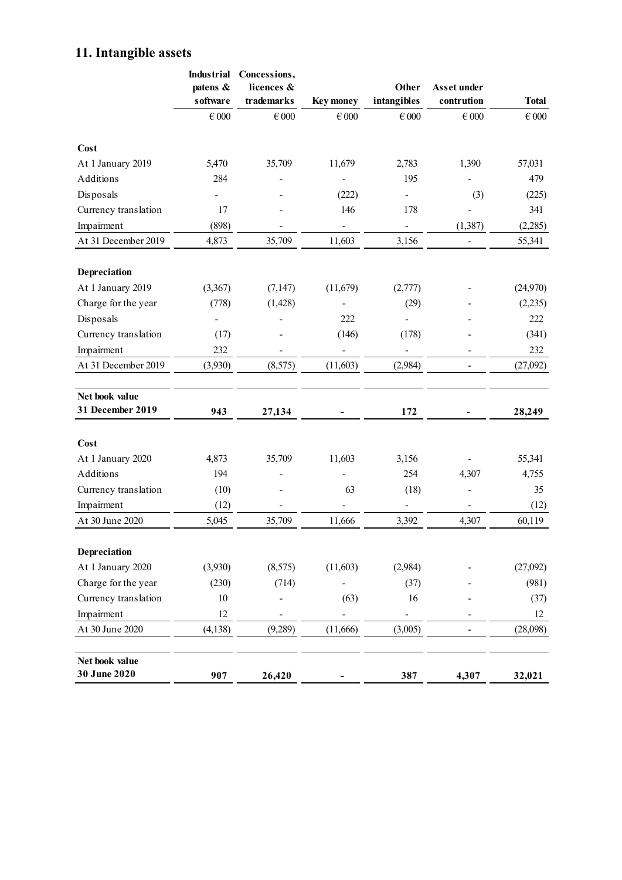# **11. Intangible assets**

| <b>Industrial</b><br>patens & | Concessions,<br>licences &                                                                                             |                                                                             | Other                                                                                         | Asset under                                                                                         | <b>Total</b>        |
|-------------------------------|------------------------------------------------------------------------------------------------------------------------|-----------------------------------------------------------------------------|-----------------------------------------------------------------------------------------------|-----------------------------------------------------------------------------------------------------|---------------------|
| $\in 000$                     | $\in 000$                                                                                                              | $\in 000$                                                                   | $\in 000$                                                                                     | $\in 000$                                                                                           | $\in 000$           |
|                               |                                                                                                                        |                                                                             |                                                                                               |                                                                                                     |                     |
| 5,470                         | 35,709                                                                                                                 | 11,679                                                                      | 2,783                                                                                         | 1,390                                                                                               | 57,031              |
| 284                           |                                                                                                                        |                                                                             | 195                                                                                           |                                                                                                     | 479                 |
|                               |                                                                                                                        | (222)                                                                       |                                                                                               | (3)                                                                                                 | (225)               |
| 17                            |                                                                                                                        | 146                                                                         | 178                                                                                           |                                                                                                     | 341                 |
| (898)                         |                                                                                                                        | $\overline{\phantom{0}}$                                                    | $\overline{\phantom{0}}$                                                                      | (1, 387)                                                                                            | (2,285)             |
| 4,873                         | 35,709                                                                                                                 | 11,603                                                                      | 3,156                                                                                         | $\qquad \qquad \blacksquare$                                                                        | 55,341              |
|                               |                                                                                                                        |                                                                             |                                                                                               |                                                                                                     |                     |
|                               |                                                                                                                        |                                                                             |                                                                                               |                                                                                                     | (24,970)            |
|                               |                                                                                                                        |                                                                             |                                                                                               |                                                                                                     | (2,235)             |
|                               |                                                                                                                        |                                                                             |                                                                                               |                                                                                                     | 222                 |
|                               |                                                                                                                        |                                                                             |                                                                                               |                                                                                                     | (341)               |
|                               |                                                                                                                        |                                                                             |                                                                                               |                                                                                                     | 232                 |
|                               |                                                                                                                        |                                                                             |                                                                                               |                                                                                                     | (27,092)            |
|                               |                                                                                                                        |                                                                             |                                                                                               |                                                                                                     |                     |
|                               |                                                                                                                        |                                                                             |                                                                                               |                                                                                                     |                     |
| 943                           | 27,134                                                                                                                 |                                                                             | 172                                                                                           |                                                                                                     | 28,249              |
|                               |                                                                                                                        |                                                                             |                                                                                               |                                                                                                     |                     |
|                               |                                                                                                                        |                                                                             |                                                                                               |                                                                                                     | 55,341              |
|                               |                                                                                                                        |                                                                             |                                                                                               |                                                                                                     | 4,755               |
|                               |                                                                                                                        |                                                                             |                                                                                               |                                                                                                     | 35                  |
|                               |                                                                                                                        |                                                                             | -                                                                                             |                                                                                                     | (12)                |
| 5,045                         | 35,709                                                                                                                 | 11,666                                                                      | 3,392                                                                                         | 4,307                                                                                               | 60,119              |
|                               |                                                                                                                        |                                                                             |                                                                                               |                                                                                                     |                     |
|                               |                                                                                                                        |                                                                             |                                                                                               |                                                                                                     |                     |
|                               |                                                                                                                        |                                                                             |                                                                                               |                                                                                                     | (27,092)            |
|                               |                                                                                                                        |                                                                             |                                                                                               |                                                                                                     | (981)               |
|                               |                                                                                                                        |                                                                             |                                                                                               |                                                                                                     | (37)                |
|                               |                                                                                                                        |                                                                             |                                                                                               |                                                                                                     | 12                  |
| (4, 138)                      | (9,289)                                                                                                                | (11,666)                                                                    | (3,005)                                                                                       |                                                                                                     | (28,098)            |
| 907                           | 26,420                                                                                                                 |                                                                             | 387                                                                                           | 4,307                                                                                               | 32,021              |
|                               | software<br>(3,367)<br>(778)<br>(17)<br>232<br>(3,930)<br>4,873<br>194<br>(10)<br>(12)<br>(3,930)<br>(230)<br>10<br>12 | trademarks<br>(7, 147)<br>(1, 428)<br>(8,575)<br>35,709<br>(8,575)<br>(714) | <b>Key money</b><br>(11,679)<br>222<br>(146)<br>(11, 603)<br>11,603<br>63<br>(11,603)<br>(63) | intangibles<br>(2,777)<br>(29)<br>(178)<br>(2,984)<br>3,156<br>254<br>(18)<br>(2,984)<br>(37)<br>16 | contrution<br>4,307 |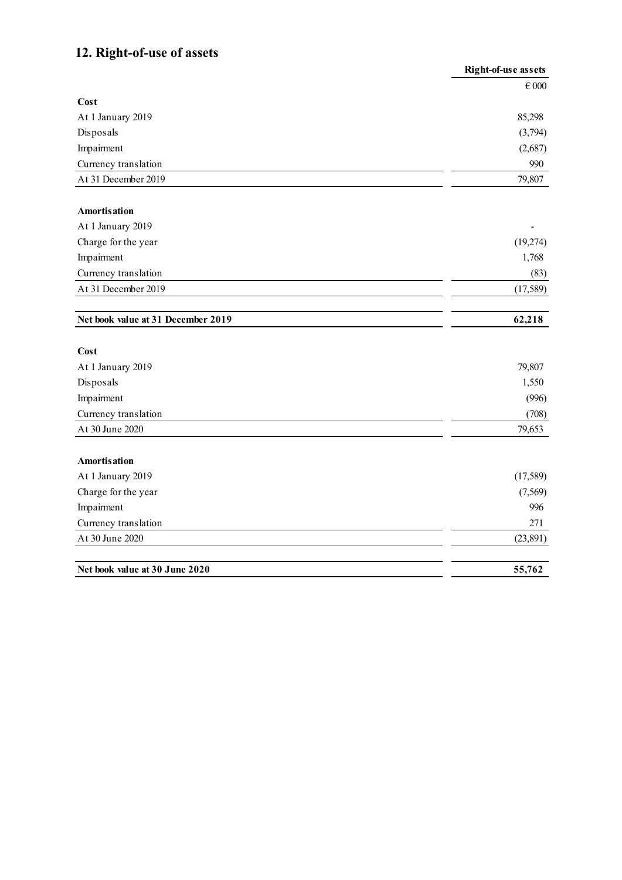# **12. Right-of-use of assets**

|                                    | <b>Right-of-use assets</b> |
|------------------------------------|----------------------------|
|                                    | $\in 000$                  |
| Cost                               |                            |
| At 1 January 2019                  | 85,298                     |
| Disposals                          | (3,794)                    |
| Impairment                         | (2,687)                    |
| Currency translation               | 990                        |
| At 31 December 2019                | 79,807                     |
| <b>Amortisation</b>                |                            |
| At 1 January 2019                  |                            |
| Charge for the year                | (19,274)                   |
| Impairment                         | 1,768                      |
| Currency translation               | (83)                       |
| At 31 December 2019                | (17,589)                   |
| Net book value at 31 December 2019 | 62,218                     |
| Cost                               |                            |
| At 1 January 2019                  | 79,807                     |
| Disposals                          | 1,550                      |
| Impairment                         | (996)                      |
| Currency translation               | (708)                      |
| At 30 June 2020                    | 79,653                     |
| <b>Amortisation</b>                |                            |
| At 1 January 2019                  | (17,589)                   |
| Charge for the year                | (7, 569)                   |
| Impairment                         | 996                        |
| Currency translation               | 271                        |
| At 30 June 2020                    | (23, 891)                  |
| Net book value at 30 June 2020     | 55,762                     |
|                                    |                            |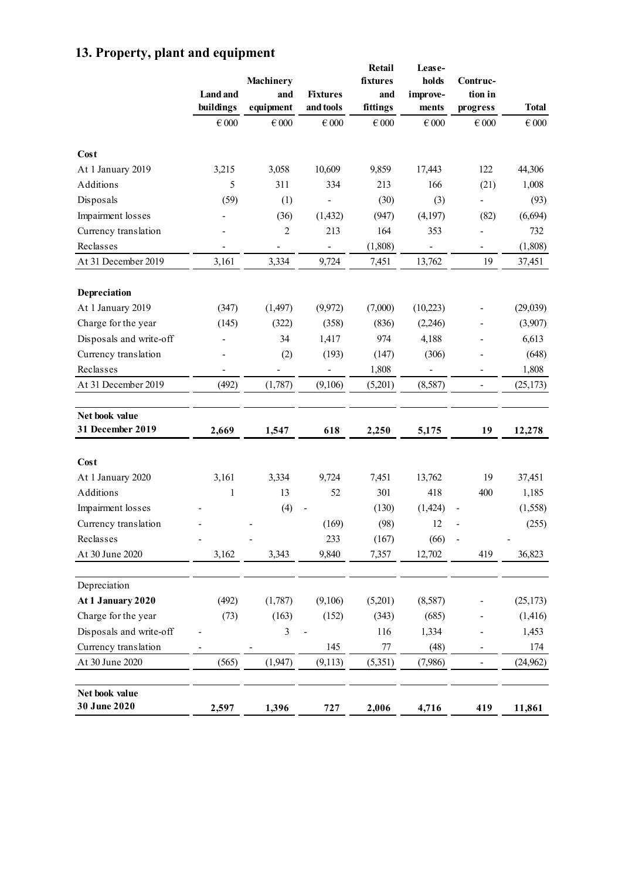|                                |                 |                         |                 | Retail          | Lease-                   |                          |              |
|--------------------------------|-----------------|-------------------------|-----------------|-----------------|--------------------------|--------------------------|--------------|
|                                | <b>Land</b> and | <b>Machinery</b><br>and | <b>Fixtures</b> | fixtures<br>and | holds                    | Contruc-<br>tion in      |              |
|                                | buildings       | equipment               | and tools       | fittings        | improve-<br>ments        | progress                 | <b>Total</b> |
|                                | $\in 000$       | $\in 000$               | $\in 000$       | $\in 000$       | $\in 000$                | $\in 000$                | $\in 000$    |
| Cost                           |                 |                         |                 |                 |                          |                          |              |
| At 1 January 2019              | 3,215           | 3,058                   | 10,609          | 9,859           | 17,443                   | 122                      | 44,306       |
| Additions                      | 5               | 311                     | 334             | 213             | 166                      | (21)                     | 1,008        |
| Disposals                      | (59)            | (1)                     |                 | (30)            | (3)                      |                          | (93)         |
| Impairment losses              |                 | (36)                    | (1, 432)        | (947)           | (4,197)                  | (82)                     | (6, 694)     |
| Currency translation           |                 | $\overline{2}$          | 213             | 164             | 353                      |                          | 732          |
| Reclasses                      |                 |                         |                 | (1,808)         | $\overline{\phantom{0}}$ | -                        | (1,808)      |
| At 31 December 2019            | 3,161           | 3,334                   | 9,724           | 7,451           | 13,762                   | 19                       | 37,451       |
| Depreciation                   |                 |                         |                 |                 |                          |                          |              |
| At 1 January 2019              | (347)           | (1, 497)                | (9,972)         | (7,000)         | (10,223)                 |                          | (29,039)     |
| Charge for the year            | (145)           | (322)                   | (358)           | (836)           | (2,246)                  |                          | (3,907)      |
| Disposals and write-off        |                 | 34                      | 1,417           | 974             | 4,188                    |                          | 6,613        |
| Currency translation           |                 | (2)                     | (193)           | (147)           | (306)                    |                          | (648)        |
| Reclasses                      |                 |                         |                 | 1,808           |                          |                          | 1,808        |
| At 31 December 2019            | (492)           | (1,787)                 | (9,106)         | (5,201)         | (8,587)                  | $\overline{\phantom{0}}$ | (25, 173)    |
| Net book value                 |                 |                         |                 |                 |                          |                          |              |
| 31 December 2019               | 2,669           | 1,547                   | 618             | 2,250           | 5,175                    | 19                       | 12,278       |
|                                |                 |                         |                 |                 |                          |                          |              |
| Cost                           |                 |                         |                 |                 |                          |                          |              |
| At 1 January 2020              | 3,161           | 3,334                   | 9,724           | 7,451           | 13,762                   | 19                       | 37,451       |
| Additions                      | $\mathbf{1}$    | 13                      | 52              | 301             | 418                      | 400                      | 1,185        |
| Impairment losses              |                 | (4)                     |                 | (130)           | (1, 424)                 |                          | (1, 558)     |
| Currency translation           |                 |                         | (169)           | (98)            | 12                       |                          | (255)        |
| Reclasses                      |                 |                         | 233             | (167)           | (66)                     |                          |              |
| At 30 June 2020                | 3,162           | 3,343                   | 9,840           | 7,357           | 12,702                   | 419                      | 36,823       |
| Depreciation                   |                 |                         |                 |                 |                          |                          |              |
| At 1 January 2020              | (492)           | (1,787)                 | (9,106)         | (5,201)         | (8,587)                  |                          | (25, 173)    |
| Charge for the year            | (73)            | (163)                   | (152)           | (343)           | (685)                    |                          | (1,416)      |
| Disposals and write-off        |                 | 3                       |                 | 116             | 1,334                    |                          | 1,453        |
| Currency translation           |                 |                         | 145             | $77\,$          | (48)                     |                          | 174          |
| At 30 June 2020                | (565)           | (1, 947)                | (9,113)         | (5,351)         | (7,986)                  |                          | (24, 962)    |
| Net book value<br>30 June 2020 | 2,597           | 1,396                   | 727             | 2,006           | 4,716                    | 419                      | 11,861       |

# **13. Property, plant and equipment**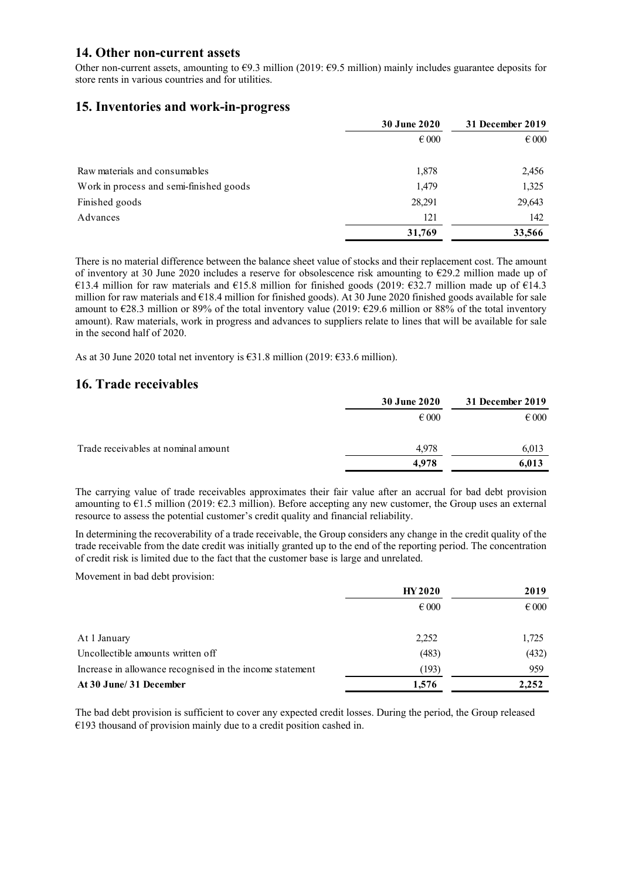#### **14. Other non-current assets**

Other non-current assets, amounting to  $\epsilon$ 9.3 million (2019:  $\epsilon$ 9.5 million) mainly includes guarantee deposits for store rents in various countries and for utilities.

#### **15. Inventories and work-in-progress**

|                                         | <b>30 June 2020</b> | 31 December 2019 |
|-----------------------------------------|---------------------|------------------|
|                                         | $\epsilon$ 000      | $\epsilon$ 000   |
| Raw materials and consumables           | 1,878               | 2,456            |
| Work in process and semi-finished goods | 1,479               | 1,325            |
| Finished goods                          | 28,291              | 29,643           |
| Advances                                | 121                 | 142              |
|                                         | 31,769              | 33,566           |

There is no material difference between the balance sheet value of stocks and their replacement cost. The amount of inventory at 30 June 2020 includes a reserve for obsolescence risk amounting to €29.2 million made up of €13.4 million for raw materials and €15.8 million for finished goods (2019: €32.7 million made up of €14.3 million for raw materials and €18.4 million for finished goods). At 30 June 2020 finished goods available for sale amount to €28.3 million or 89% of the total inventory value (2019: €29.6 million or 88% of the total inventory amount). Raw materials, work in progress and advances to suppliers relate to lines that will be available for sale in the second half of 2020.

As at 30 June 2020 total net inventory is €31.8 million (2019: €33.6 million).

### **16. Trade receivables**

|                                     | <b>30 June 2020</b> | 31 December 2019 |
|-------------------------------------|---------------------|------------------|
|                                     | $\epsilon$ 000      | $\epsilon$ 000   |
| Trade receivables at nominal amount | 4,978               | 6,013            |
|                                     | 4.978               | 6,013            |

The carrying value of trade receivables approximates their fair value after an accrual for bad debt provision amounting to  $61.5$  million (2019:  $62.3$  million). Before accepting any new customer, the Group uses an external resource to assess the potential customer's credit quality and financial reliability.

In determining the recoverability of a trade receivable, the Group considers any change in the credit quality of the trade receivable from the date credit was initially granted up to the end of the reporting period. The concentration of credit risk is limited due to the fact that the customer base is large and unrelated.

Movement in bad debt provision:

|                                                          | <b>HY 2020</b> | 2019           |
|----------------------------------------------------------|----------------|----------------|
|                                                          | $\epsilon$ 000 | $\epsilon$ 000 |
| At 1 January                                             | 2,252          | 1,725          |
| Uncollectible amounts written off                        | (483)          | (432)          |
| Increase in allowance recognised in the income statement | (193)          | 959            |
| At 30 June/ 31 December                                  | 1,576          | 2,252          |

The bad debt provision is sufficient to cover any expected credit losses. During the period, the Group released  $€193$  thousand of provision mainly due to a credit position cashed in.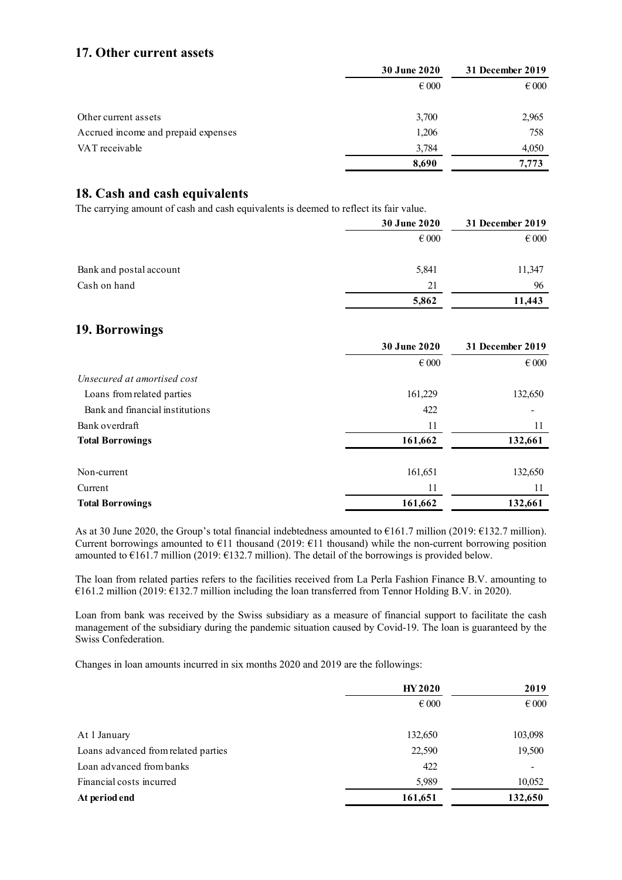## **17. Other current assets**

|                                     | <b>30 June 2020</b> | 31 December 2019 |
|-------------------------------------|---------------------|------------------|
|                                     | $\epsilon$ 000      | $\epsilon$ 000   |
| Other current assets                | 3,700               | 2,965            |
| Accrued income and prepaid expenses | 1,206               | 758              |
| VAT receivable                      | 3,784               | 4,050            |
|                                     | 8,690               | 7,773            |

## **18. Cash and cash equivalents**

The carrying amount of cash and cash equivalents is deemed to reflect its fair value.

|                         | <b>30 June 2020</b> | 31 December 2019 |
|-------------------------|---------------------|------------------|
|                         | $\epsilon$ 000      | $\epsilon$ 000   |
| Bank and postal account | 5,841               | 11,347           |
| Cash on hand            | 21                  | 96               |
|                         | 5,862               | 11.443           |

### **19. Borrowings**

|                                 | $\epsilon$ 000 | $\epsilon$ 000 |
|---------------------------------|----------------|----------------|
| Unsecured at amortised cost     |                |                |
| Loans from related parties      | 161,229        | 132,650        |
| Bank and financial institutions | 422            |                |
| Bank overdraft                  | 11             | 11             |
| <b>Total Borrowings</b>         | 161,662        | 132,661        |
| Non-current                     | 161,651        | 132,650        |
| Current                         | 11             |                |
| <b>Total Borrowings</b>         | 161,662        | 132,661        |
|                                 |                |                |

**30 June 2020 31 December 2019**

As at 30 June 2020, the Group's total financial indebtedness amounted to €161.7 million (2019: €132.7 million). Current borrowings amounted to  $E11$  thousand (2019:  $E11$  thousand) while the non-current borrowing position amounted to  $\epsilon$ 161.7 million (2019:  $\epsilon$ 132.7 million). The detail of the borrowings is provided below.

The loan from related parties refers to the facilities received from La Perla Fashion Finance B.V. amounting to €161.2 million (2019: €132.7 million including the loan transferred from Tennor Holding B.V. in 2020).

Loan from bank was received by the Swiss subsidiary as a measure of financial support to facilitate the cash management of the subsidiary during the pandemic situation caused by Covid-19. The loan is guaranteed by the Swiss Confederation.

Changes in loan amounts incurred in six months 2020 and 2019 are the followings:

|                                     | <b>HY2020</b>  | 2019           |  |
|-------------------------------------|----------------|----------------|--|
|                                     | $\epsilon$ 000 | $\epsilon$ 000 |  |
| At 1 January                        | 132,650        | 103,098        |  |
| Loans advanced from related parties | 22,590         | 19,500         |  |
| Loan advanced from banks            | 422            |                |  |
| Financial costs incurred            | 5,989          | 10,052         |  |
| At period end                       | 161,651        | 132,650        |  |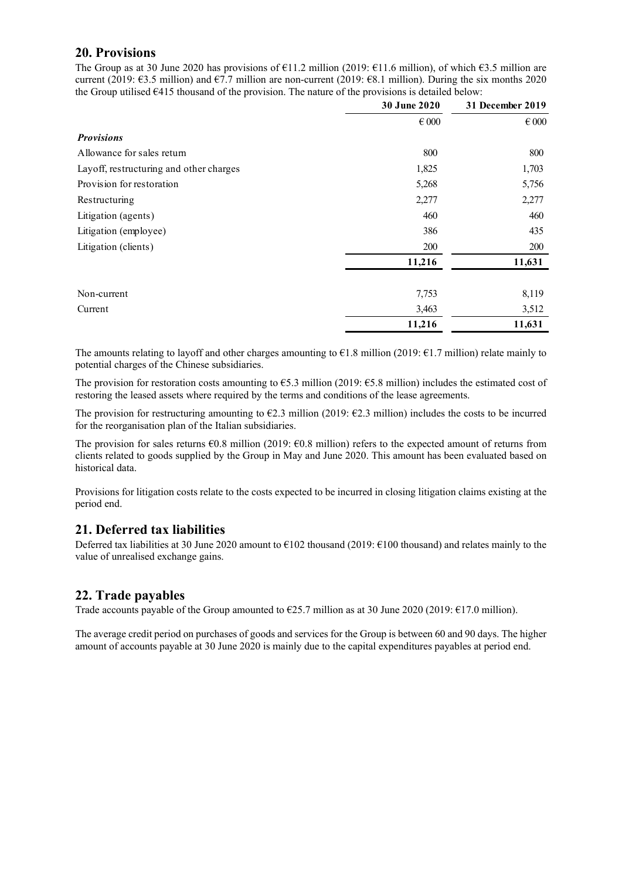### **20. Provisions**

The Group as at 30 June 2020 has provisions of  $\epsilon$ 11.2 million (2019:  $\epsilon$ 11.6 million), of which  $\epsilon$ 3.5 million are current (2019:  $\epsilon$ 3.5 million) and  $\epsilon$ 7.7 million are non-current (2019:  $\epsilon$ 8.1 million). During the six months 2020 the Group utilised  $\epsilon$ 415 thousand of the provision. The nature of the provisions is detailed below:

|                                         | <b>30 June 2020</b> | 31 December 2019 |
|-----------------------------------------|---------------------|------------------|
|                                         | $\in 000$           | $\epsilon$ 000   |
| <b>Provisions</b>                       |                     |                  |
| Allowance for sales return              | 800                 | 800              |
| Layoff, restructuring and other charges | 1,825               | 1,703            |
| Provision for restoration               | 5,268               | 5,756            |
| Restructuring                           | 2,277               | 2,277            |
| Litigation (agents)                     | 460                 | 460              |
| Litigation (employee)                   | 386                 | 435              |
| Litigation (clients)                    | 200                 | 200              |
|                                         | 11,216              | 11,631           |
| Non-current                             | 7,753               | 8,119            |
| Current                                 | 3,463               | 3,512            |
|                                         | 11,216              | 11,631           |

The amounts relating to layoff and other charges amounting to  $\epsilon$ 1.8 million (2019:  $\epsilon$ 1.7 million) relate mainly to potential charges of the Chinese subsidiaries.

The provision for restoration costs amounting to  $\epsilon$ 5.3 million (2019:  $\epsilon$ 5.8 million) includes the estimated cost of restoring the leased assets where required by the terms and conditions of the lease agreements.

The provision for restructuring amounting to  $\epsilon$ 2.3 million (2019:  $\epsilon$ 2.3 million) includes the costs to be incurred for the reorganisation plan of the Italian subsidiaries.

The provision for sales returns  $\epsilon$ 0.8 million (2019:  $\epsilon$ 0.8 million) refers to the expected amount of returns from clients related to goods supplied by the Group in May and June 2020. This amount has been evaluated based on historical data.

Provisions for litigation costs relate to the costs expected to be incurred in closing litigation claims existing at the period end.

### **21. Deferred tax liabilities**

Deferred tax liabilities at 30 June 2020 amount to €102 thousand (2019: €100 thousand) and relates mainly to the value of unrealised exchange gains.

### **22. Trade payables**

Trade accounts payable of the Group amounted to  $\epsilon$ 25.7 million as at 30 June 2020 (2019:  $\epsilon$ 17.0 million).

The average credit period on purchases of goods and services for the Group is between 60 and 90 days. The higher amount of accounts payable at 30 June 2020 is mainly due to the capital expenditures payables at period end.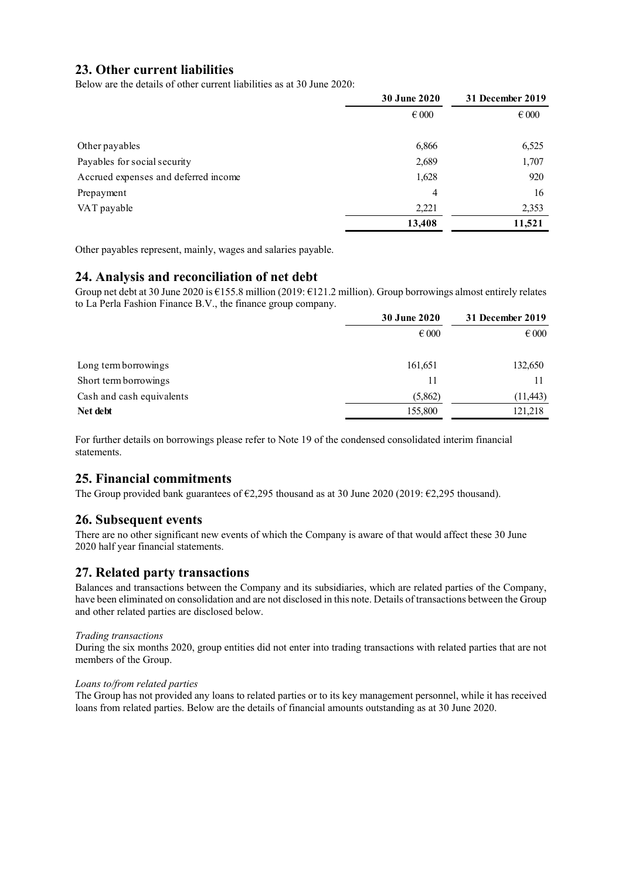## **23. Other current liabilities**

Below are the details of other current liabilities as at 30 June 2020:

|                                      | 30 June 2020<br>$\epsilon$ 000 | 31 December 2019 |  |
|--------------------------------------|--------------------------------|------------------|--|
|                                      |                                | $\epsilon$ 000   |  |
| Other payables                       | 6,866                          | 6,525            |  |
| Payables for social security         | 2,689                          | 1,707            |  |
| Accrued expenses and deferred income | 1,628                          | 920              |  |
| Prepayment                           | 4                              | 16               |  |
| VAT payable                          | 2,221                          | 2,353            |  |
|                                      | 13,408                         | 11,521           |  |

Other payables represent, mainly, wages and salaries payable.

### **24. Analysis and reconciliation of net debt**

Group net debt at 30 June 2020 is €155.8 million (2019: €121.2 million). Group borrowings almost entirely relates to La Perla Fashion Finance B.V., the finance group company.

|                           | 30 June 2020   | 31 December 2019 |  |
|---------------------------|----------------|------------------|--|
|                           | $\epsilon$ 000 | $\epsilon$ 000   |  |
| Long term borrowings      | 161,651        | 132,650          |  |
| Short term borrowings     | 11             |                  |  |
| Cash and cash equivalents | (5,862)        | (11, 443)        |  |
| Net debt                  | 155,800        | 121,218          |  |

For further details on borrowings please refer to Note 19 of the condensed consolidated interim financial statements.

### **25. Financial commitments**

The Group provided bank guarantees of €2,295 thousand as at 30 June 2020 (2019: €2,295 thousand).

### **26. Subsequent events**

There are no other significant new events of which the Company is aware of that would affect these 30 June 2020 half year financial statements.

### **27. Related party transactions**

Balances and transactions between the Company and its subsidiaries, which are related parties of the Company, have been eliminated on consolidation and are not disclosed in this note. Details of transactions between the Group and other related parties are disclosed below.

#### *Trading transactions*

During the six months 2020, group entities did not enter into trading transactions with related parties that are not members of the Group.

#### *Loans to/from related parties*

The Group has not provided any loans to related parties or to its key management personnel, while it has received loans from related parties. Below are the details of financial amounts outstanding as at 30 June 2020.